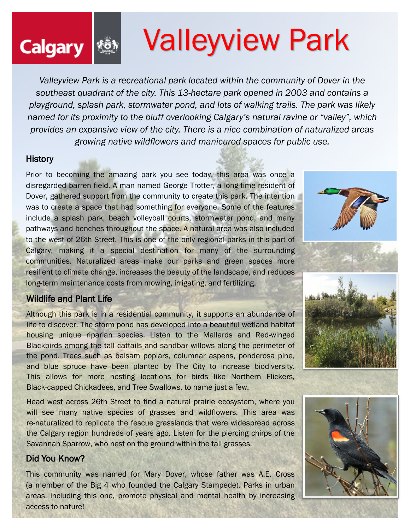# calgary **Walleyview Park**

*Valleyview Park is a recreational park located within the community of Dover in the southeast quadrant of the city. This 13-hectare park opened in 2003 and contains a playground, splash park, stormwater pond, and lots of walking trails. The park was likely named for its proximity to the bluff overlooking Calgary's natural ravine or "valley", which provides an expansive view of the city. There is a nice combination of naturalized areas growing native wildflowers and manicured spaces for public use.*

#### **History**

Prior to becoming the amazing park you see today, this area was once a disregarded barren field. A man named George Trotter, a long-time resident of Dover, gathered support from the community to create this park. The intention was to create a space that had something for everyone. Some of the features include a splash park, beach volleyball courts, stormwater pond, and many pathways and benches throughout the space. A natural area was also included to the west of 26th Street. This is one of the only regional parks in this part of Calgary, making it a special destination for many of the surrounding communities. Naturalized areas make our parks and green spaces more resilient to climate change, increases the beauty of the landscape, and reduces long-term maintenance costs from mowing, irrigating, and fertilizing.

#### Wildlife and Plant Life

Although this park is in a residential community, it supports an abundance of life to discover. The storm pond has developed into a beautiful wetland habitat housing unique riparian species. Listen to the Mallards and Red-winged Blackbirds among the tall cattails and sandbar willows along the perimeter of the pond. Trees such as balsam poplars, columnar aspens, ponderosa pine, and blue spruce have been planted by The City to increase biodiversity. This allows for more nesting locations for birds like Northern Flickers, Black-capped Chickadees, and Tree Swallows, to name just a few.

Head west across 26th Street to find a natural prairie ecosystem, where you will see many native species of grasses and wildflowers. This area was re-naturalized to replicate the fescue grasslands that were widespread across the Calgary region hundreds of years ago. Listen for the piercing chirps of the Savannah Sparrow, who nest on the ground within the tall grasses.

#### Did You Know?

This community was named for Mary Dover, whose father was A.E. Cross (a member of the Big 4 who founded the Calgary Stampede). Parks in urban areas, including this one, promote physical and mental health by increasing access to nature!







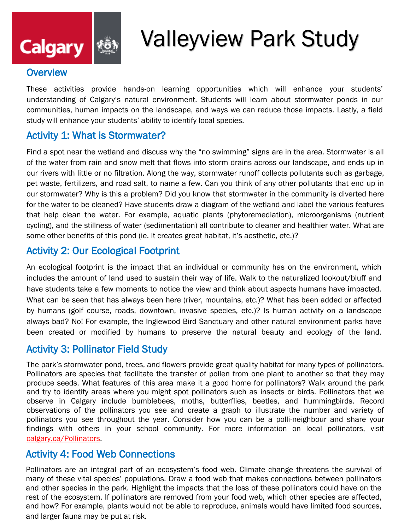

## Valleyview Park Study

#### **Overview**

These activities provide hands-on learning opportunities which will enhance your students' understanding of Calgary's natural environment. Students will learn about stormwater ponds in our communities, human impacts on the landscape, and ways we can reduce those impacts. Lastly, a field study will enhance your students' ability to identify local species.

#### Activity 1: What is Stormwater?

Find a spot near the wetland and discuss why the "no swimming" signs are in the area. Stormwater is all of the water from rain and snow melt that flows into storm drains across our landscape, and ends up in our rivers with little or no filtration. Along the way, stormwater runoff collects pollutants such as garbage, pet waste, fertilizers, and road salt, to name a few. Can you think of any other pollutants that end up in our stormwater? Why is this a problem? Did you know that stormwater in the community is diverted here for the water to be cleaned? Have students draw a diagram of the wetland and label the various features that help clean the water. For example, aquatic plants (phytoremediation), microorganisms (nutrient cycling), and the stillness of water (sedimentation) all contribute to cleaner and healthier water. What are some other benefits of this pond (ie. It creates great habitat, it's aesthetic, etc.)?

#### Activity 2: Our Ecological Footprint

An ecological footprint is the impact that an individual or community has on the environment, which includes the amount of land used to sustain their way of life. Walk to the naturalized lookout/bluff and have students take a few moments to notice the view and think about aspects humans have impacted. What can be seen that has always been here (river, mountains, etc.)? What has been added or affected by humans (golf course, roads, downtown, invasive species, etc.)? Is human activity on a landscape always bad? No! For example, the Inglewood Bird Sanctuary and other natural environment parks have been created or modified by humans to preserve the natural beauty and ecology of the land.

#### Activity 3: Pollinator Field Study

The park's stormwater pond, trees, and flowers provide great quality habitat for many types of pollinators. Pollinators are species that facilitate the transfer of pollen from one plant to another so that they may produce seeds. What features of this area make it a good home for pollinators? Walk around the park and try to identify areas where you might spot pollinators such as insects or birds. Pollinators that we observe in Calgary include bumblebees, moths, butterflies, beetles, and hummingbirds. Record observations of the pollinators you see and create a graph to illustrate the number and variety of pollinators you see throughout the year. Consider how you can be a polli-neighbour and share your findings with others in your school community. For more information on local pollinators, visit [calgary.ca/Pollinators.](https://www.calgary.ca/csps/parks/planning-and-operations/bee-a-polli-neighbour.html?redirect=/pollinators)

#### Activity 4: Food Web Connections

Pollinators are an integral part of an ecosystem's food web. Climate change threatens the survival of many of these vital species' populations. Draw a food web that makes connections between pollinators and other species in the park. Highlight the impacts that the loss of these pollinators could have on the rest of the ecosystem. If pollinators are removed from your food web, which other species are affected, and how? For example, plants would not be able to reproduce, animals would have limited food sources, and larger fauna may be put at risk.